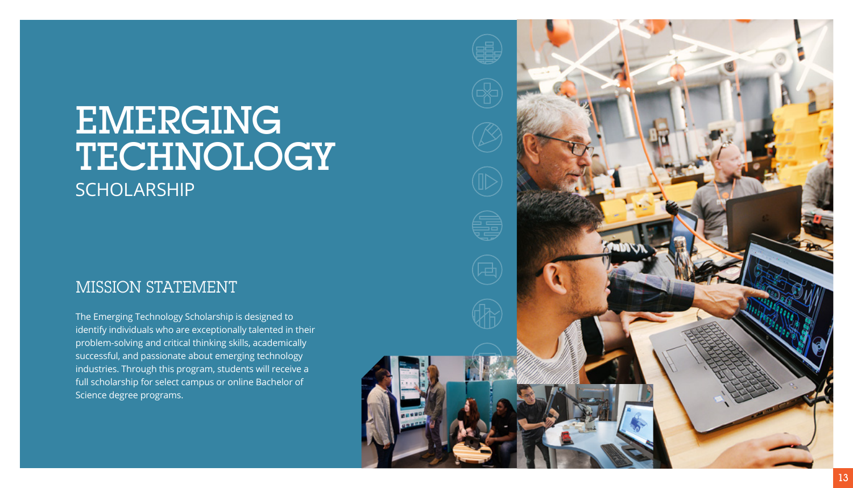# EMERGING TECHNOLOGY **SCHOLARSHIP**

## MISSION STATEMENT

The Emerging Technology Scholarship is designed to identify individuals who are exceptionally talented in their problem-solving and critical thinking skills, academically successful, and passionate about emerging technology industries. Through this program, students will receive a full scholarship for select campus or online Bachelor of Science degree programs.

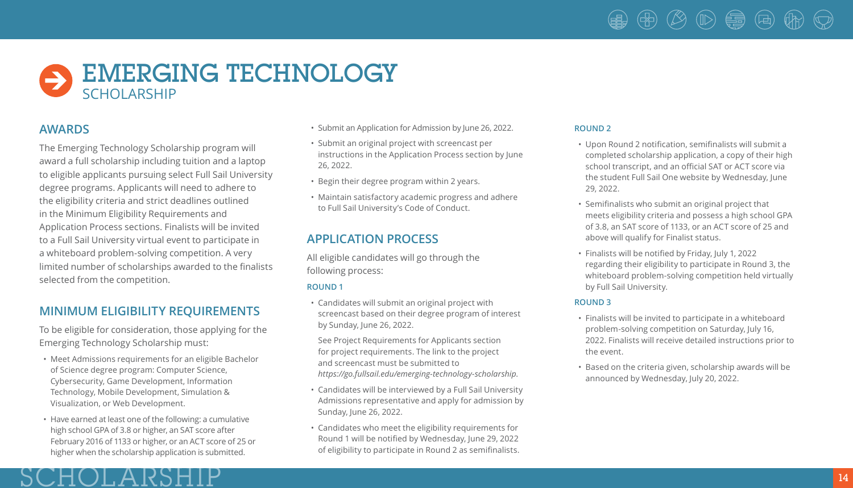### $\circledast$ (11>) (事 (国)

# EMERGING TECHNOLOGY SCHOLARSHIP

### **AWARDS**

The Emerging Technology Scholarship program will award a full scholarship including tuition and a laptop to eligible applicants pursuing select Full Sail University degree programs. Applicants will need to adhere to the eligibility criteria and strict deadlines outlined in the Minimum Eligibility Requirements and Application Process sections. Finalists will be invited to a Full Sail University virtual event to participate in a whiteboard problem-solving competition. A very limited number of scholarships awarded to the finalists selected from the competition.

## **MINIMUM ELIGIBILITY REQUIREMENTS**

To be eligible for consideration, those applying for the Emerging Technology Scholarship must:

- Meet Admissions requirements for an eligible Bachelor of Science degree program: Computer Science, Cybersecurity, Game Development, Information Technology, Mobile Development, Simulation & Visualization, or Web Development.
- Have earned at least one of the following: a cumulative high school GPA of 3.8 or higher, an SAT score after February 2016 of 1133 or higher, or an ACT score of 25 or higher when the scholarship application is submitted.

HOLAR

- Submit an Application for Admission by June 26, 2022.
- Submit an original project with screencast per instructions in the Application Process section by June 26, 2022.
- Begin their degree program within 2 years.
- Maintain satisfactory academic progress and adhere to Full Sail University's Code of Conduct.

## **APPLICATION PROCESS**

All eligible candidates will go through the following process:

#### **ROUND 1**

• Candidates will submit an original project with screencast based on their degree program of interest by Sunday, June 26, 2022.

 See Project Requirements for Applicants section for project requirements. The link to the project and screencast must be submitted to *https://go.fullsail.edu/emerging-technology-scholarship*.

- Candidates will be interviewed by a Full Sail University Admissions representative and apply for admission by Sunday, June 26, 2022.
- Candidates who meet the eligibility requirements for Round 1 will be notified by Wednesday, June 29, 2022 of eligibility to participate in Round 2 as semifinalists.

#### **ROUND 2**

- Upon Round 2 notification, semifinalists will submit a completed scholarship application, a copy of their high school transcript, and an official SAT or ACT score via the student Full Sail One website by Wednesday, June 29, 2022.
- Semifinalists who submit an original project that meets eligibility criteria and possess a high school GPA of 3.8, an SAT score of 1133, or an ACT score of 25 and above will qualify for Finalist status.
- Finalists will be notified by Friday, July 1, 2022 regarding their eligibility to participate in Round 3, the whiteboard problem-solving competition held virtually by Full Sail University.

#### **ROUND 3**

- Finalists will be invited to participate in a whiteboard problem-solving competition on Saturday, July 16, 2022. Finalists will receive detailed instructions prior to the event.
- Based on the criteria given, scholarship awards will be announced by Wednesday, July 20, 2022.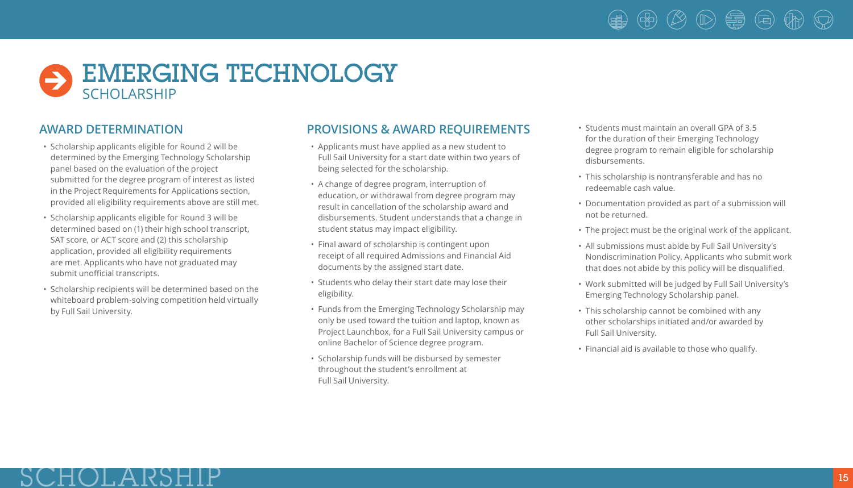# EMERGING TECHNOLOGY SCHOLARSHIP

## **AWARD DETERMINATION**

- Scholarship applicants eligible for Round 2 will be determined by the Emerging Technology Scholarship panel based on the evaluation of the project submitted for the degree program of interest as listed in the Project Requirements for Applications section, provided all eligibility requirements above are still met.
- Scholarship applicants eligible for Round 3 will be determined based on (1) their high school transcript, SAT score, or ACT score and (2) this scholarship application, provided all eligibility requirements are met. Applicants who have not graduated may submit unofficial transcripts.
- Scholarship recipients will be determined based on the whiteboard problem-solving competition held virtually by Full Sail University.

#### **PROVISIONS & AWARD REQUIREMENTS**

- Applicants must have applied as a new student to Full Sail University for a start date within two years of being selected for the scholarship.
- A change of degree program, interruption of education, or withdrawal from degree program may result in cancellation of the scholarship award and disbursements. Student understands that a change in student status may impact eligibility.
- Final award of scholarship is contingent upon receipt of all required Admissions and Financial Aid documents by the assigned start date.
- Students who delay their start date may lose their eligibility.
- Funds from the Emerging Technology Scholarship may only be used toward the tuition and laptop, known as Project Launchbox, for a Full Sail University campus or online Bachelor of Science degree program.
- Scholarship funds will be disbursed by semester throughout the student's enrollment at Full Sail University.
- Students must maintain an overall GPA of 3.5 for the duration of their Emerging Technology degree program to remain eligible for scholarship disbursements.
- This scholarship is nontransferable and has no redeemable cash value.
- Documentation provided as part of a submission will not be returned.
- The project must be the original work of the applicant.
- All submissions must abide by Full Sail University's Nondiscrimination Policy. Applicants who submit work that does not abide by this policy will be disqualified.
- Work submitted will be judged by Full Sail University's Emerging Technology Scholarship panel.
- This scholarship cannot be combined with any other scholarships initiated and/or awarded by Full Sail University.
- Financial aid is available to those who qualify.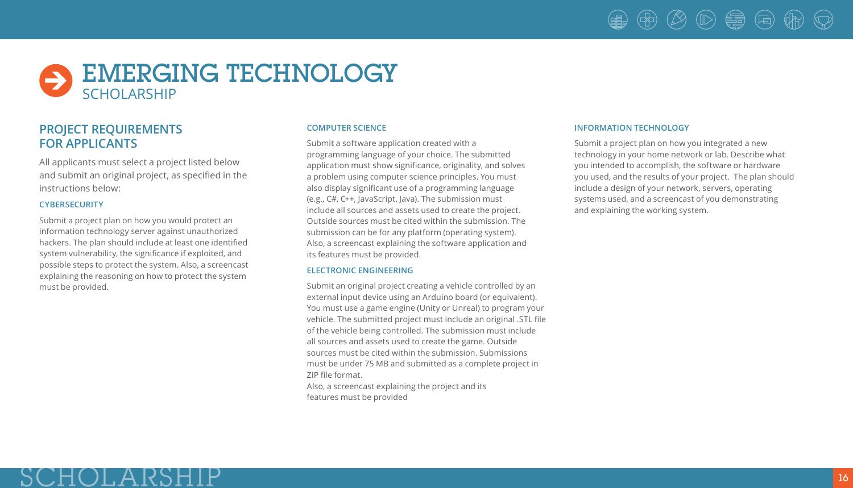# $\circledast$   $\circledast$   $\circledast$   $\circledast$

## EMERGING TECHNOLOGY SCHOLARSHIP

## **PROJECT REQUIREMENTS FOR APPLICANTS**

JHOLARS

All applicants must select a project listed below and submit an original project, as specified in the instructions below:

#### **CYBERSECURITY**

Submit a project plan on how you would protect an information technology server against unauthorized hackers. The plan should include at least one identified system vulnerability, the significance if exploited, and possible steps to protect the system. Also, a screencast explaining the reasoning on how to protect the system must be provided.

#### **COMPUTER SCIENCE**

Submit a software application created with a programming language of your choice. The submitted application must show significance, originality, and solves a problem using computer science principles. You must also display significant use of a programming language (e.g., C#, C++, JavaScript, Java). The submission must include all sources and assets used to create the project. Outside sources must be cited within the submission. The submission can be for any platform (operating system). Also, a screencast explaining the software application and its features must be provided.

#### **ELECTRONIC ENGINEERING**

Submit an original project creating a vehicle controlled by an external input device using an Arduino board (or equivalent). You must use a game engine (Unity or Unreal) to program your vehicle. The submitted project must include an original .STL file of the vehicle being controlled. The submission must include all sources and assets used to create the game. Outside sources must be cited within the submission. Submissions must be under 75 MB and submitted as a complete project in ZIP file format.

Also, a screencast explaining the project and its features must be provided

#### **INFORMATION TECHNOLOGY**

Submit a project plan on how you integrated a new technology in your home network or lab. Describe what you intended to accomplish, the software or hardware you used, and the results of your project. The plan should include a design of your network, servers, operating systems used, and a screencast of you demonstrating and explaining the working system.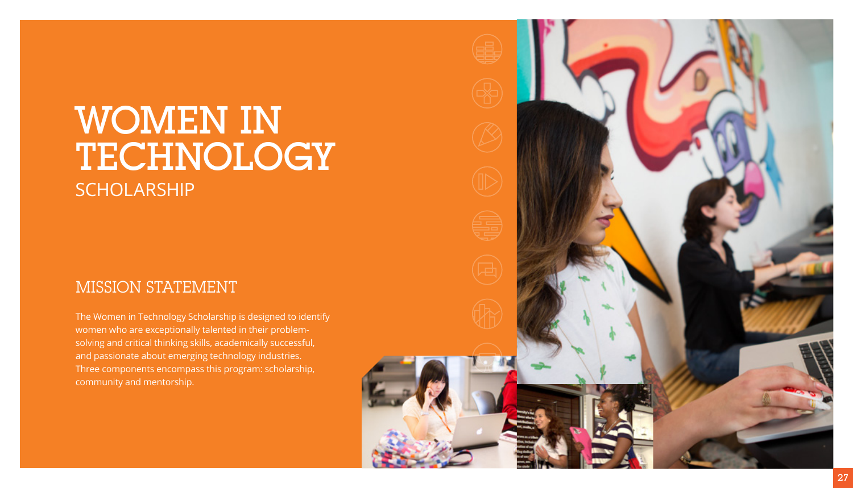# WOMEN IN TECHNOLOGY **SCHOLARSHIP**

## MISSION STATEMENT

The Women in Technology Scholarship is designed to identify women who are exceptionally talented in their problemsolving and critical thinking skills, academically successful, and passionate about emerging technology industries. Three components encompass this program: scholarship, community and mentorship.

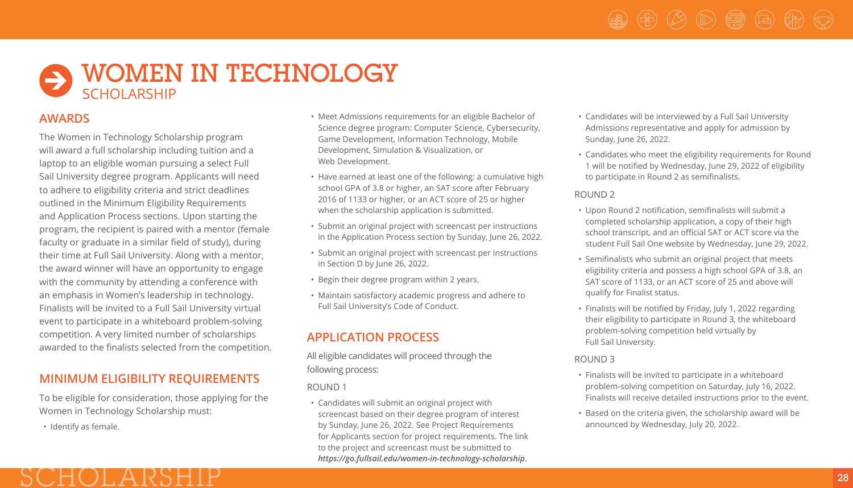## $\bullet$  WOMEN IN TECHNOLOGY **SCHOLARSHIP**

### **AWARDS**

The Women in Technology Scholarship program will award a full scholarship including tuition and a laptop to an eligible woman pursuing a select Full Sail University degree program. Applicants will need to adhere to eligibility criteria and strict deadlines outlined in the Minimum Eligibility Requirements and Application Process sections. Upon starting the program, the recipient is paired with a mentor (female faculty or graduate in a similar field of study), during their time at Full Sail University. Along with a mentor, the award winner will have an opportunity to engage with the community by attending a conference with an emphasis in Women's leadership in technology. Finalists will be invited to a Full Sail University virtual event to participate in a whiteboard problem-solving competition. A very limited number of scholarships awarded to the finalists selected from the competition.

## **MINIMUM ELIGIBILITY REQUIREMENTS**

To be eligible for consideration, those applying for the Women in Technology Scholarship must:

SCHOLARSHIP

• Identify as female.

- Meet Admissions requirements for an eligible Bachelor of Science degree program: Computer Science, Cybersecurity, Game Development, Information Technology, Mobile Development, Simulation & Visualization, or Web Development.
- Have earned at least one of the following: a cumulative high school GPA of 3.8 or higher, an SAT score after February 2016 of 1133 or higher, or an ACT score of 25 or higher when the scholarship application is submitted.
- Submit an original project with screencast per instructions in the Application Process section by Sunday, June 26, 2022.
- Submit an original project with screencast per instructions in Section D by June 26, 2022.
- Begin their degree program within 2 years.
- Maintain satisfactory academic progress and adhere to Full Sail University's Code of Conduct.

## **APPLICATION PROCESS**

All eligible candidates will proceed through the following process:

ROUND 1

• Candidates will submit an original project with screencast based on their degree program of interest by Sunday, June 26, 2022. See Project Requirements for Applicants section for project requirements. The link to the project and screencast must be submitted to *https://go.fullsail.edu/women-in-technology-scholarship*.

- Candidates will be interviewed by a Full Sail University Admissions representative and apply for admission by Sunday, June 26, 2022.
- Candidates who meet the eligibility requirements for Round 1 will be notified by Wednesday, June 29, 2022 of eligibility to participate in Round 2 as semifinalists.

#### ROUND 2

- Upon Round 2 notification, semifinalists will submit a completed scholarship application, a copy of their high school transcript, and an official SAT or ACT score via the student Full Sail One website by Wednesday, June 29, 2022.
- Semifinalists who submit an original project that meets eligibility criteria and possess a high school GPA of 3.8, an SAT score of 1133, or an ACT score of 25 and above will qualify for Finalist status.
- Finalists will be notified by Friday, July 1, 2022 regarding their eligibility to participate in Round 3, the whiteboard problem-solving competition held virtually by Full Sail University.

#### ROUND 3

- Finalists will be invited to participate in a whiteboard problem-solving competition on Saturday, July 16, 2022. Finalists will receive detailed instructions prior to the event.
- Based on the criteria given, the scholarship award will be announced by Wednesday, July 20, 2022.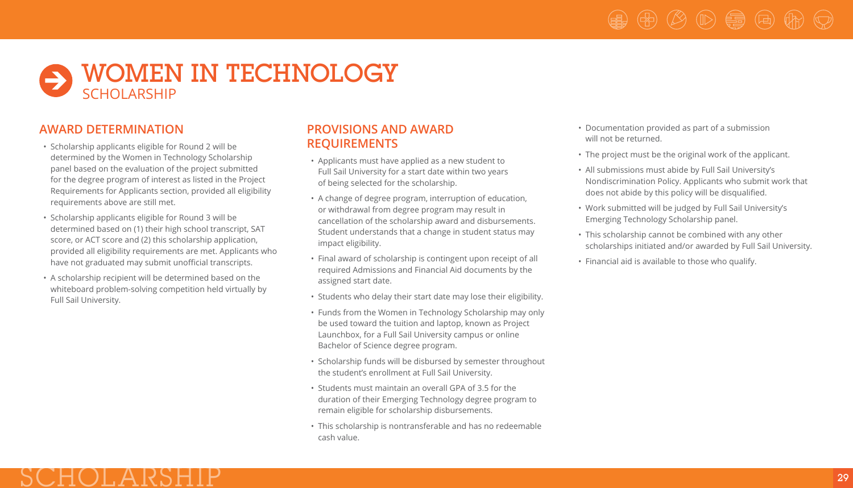# $\circledast$   $\circledast$   $\circledast$   $\circledast$   $\circledast$   $\circledast$

## **S** WOMEN IN TECHNOLOGY SCHOLARSHIP

## **AWARD DETERMINATION**

HOLARS

- Scholarship applicants eligible for Round 2 will be determined by the Women in Technology Scholarship panel based on the evaluation of the project submitted for the degree program of interest as listed in the Project Requirements for Applicants section, provided all eligibility requirements above are still met.
- Scholarship applicants eligible for Round 3 will be determined based on (1) their high school transcript, SAT score, or ACT score and (2) this scholarship application, provided all eligibility requirements are met. Applicants who have not graduated may submit unofficial transcripts.
- A scholarship recipient will be determined based on the whiteboard problem-solving competition held virtually by Full Sail University.

#### **PROVISIONS AND AWARD REQUIREMENTS**

- Applicants must have applied as a new student to Full Sail University for a start date within two years of being selected for the scholarship.
- A change of degree program, interruption of education, or withdrawal from degree program may result in cancellation of the scholarship award and disbursements. Student understands that a change in student status may impact eligibility.
- Final award of scholarship is contingent upon receipt of all required Admissions and Financial Aid documents by the assigned start date.
- Students who delay their start date may lose their eligibility.
- Funds from the Women in Technology Scholarship may only be used toward the tuition and laptop, known as Project Launchbox, for a Full Sail University campus or online Bachelor of Science degree program.
- Scholarship funds will be disbursed by semester throughout the student's enrollment at Full Sail University.
- Students must maintain an overall GPA of 3.5 for the duration of their Emerging Technology degree program to remain eligible for scholarship disbursements.
- This scholarship is nontransferable and has no redeemable cash value.
- Documentation provided as part of a submission will not be returned.
- The project must be the original work of the applicant.
- All submissions must abide by Full Sail University's Nondiscrimination Policy. Applicants who submit work that does not abide by this policy will be disqualified.
- Work submitted will be judged by Full Sail University's Emerging Technology Scholarship panel.
- This scholarship cannot be combined with any other scholarships initiated and/or awarded by Full Sail University.
- Financial aid is available to those who qualify.